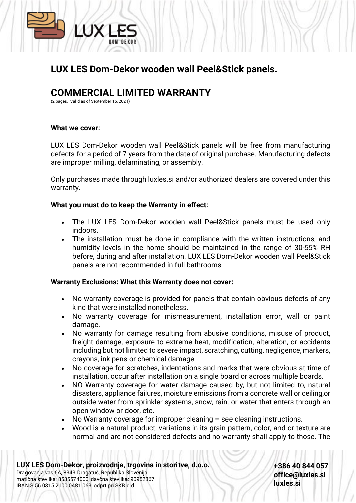

## **LUX LES Dom-Dekor wooden wall Peel&Stick panels.**

# **COMMERCIAL LIMITED WARRANTY**

(2 pages, Valid as of September 15, 2021)

### **What we cover:**

LUX LES Dom-Dekor wooden wall Peel&Stick panels will be free from manufacturing defects for a period of 7 years from the date of original purchase. Manufacturing defects are improper milling, delaminating, or assembly.

Only purchases made through luxles.si and/or authorized dealers are covered under this warranty.

### **What you must do to keep the Warranty in effect:**

- The LUX LES Dom-Dekor wooden wall Peel&Stick panels must be used only indoors.
- The installation must be done in compliance with the written instructions, and humidity levels in the home should be maintained in the range of 30-55% RH before, during and after installation. LUX LES Dom-Dekor wooden wall Peel&Stick panels are not recommended in full bathrooms.

### **Warranty Exclusions: What this Warranty does not cover:**

- No warranty coverage is provided for panels that contain obvious defects of any kind that were installed nonetheless.
- No warranty coverage for mismeasurement, installation error, wall or paint damage.
- No warranty for damage resulting from abusive conditions, misuse of product, freight damage, exposure to extreme heat, modification, alteration, or accidents including but not limited to severe impact, scratching, cutting, negligence, markers, crayons, ink pens or chemical damage.
- No coverage for scratches, indentations and marks that were obvious at time of installation, occur after installation on a single board or across multiple boards.
- NO Warranty coverage for water damage caused by, but not limited to, natural disasters, appliance failures, moisture emissions from a concrete wall or ceiling,or outside water from sprinkler systems, snow, rain, or water that enters through an open window or door, etc.
- No Warranty coverage for improper cleaning see cleaning instructions.
- Wood is a natural product; variations in its grain pattern, color, and or texture are normal and are not considered defects and no warranty shall apply to those. The

**LUX LES Dom-Dekor, proizvodnja, trgovina in storitve, d.o.o.** Dragovanja vas 6A, 8343 Dragatuš, Republika Slovenija matična številka: 8535574000, davčna številka: 90952367 IBAN SI56 0315 2100 0481 063, odprt pri SKB d.d

**+386 40 844 057 office@luxles.si luxles.si**